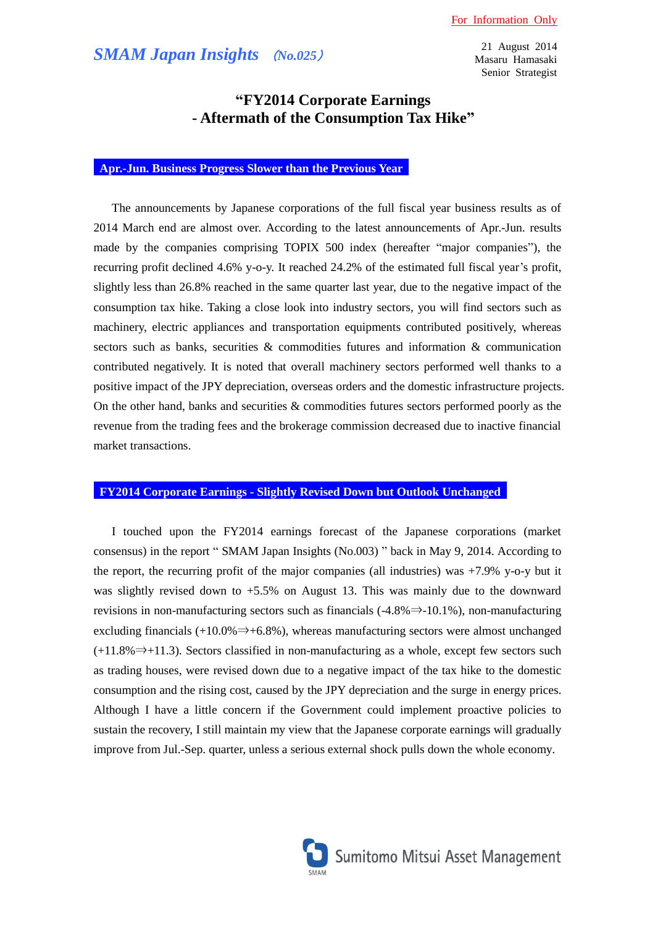21 August 2014 Masaru Hamasaki Senior Strategist

# **"FY2014 Corporate Earnings - Aftermath of the Consumption Tax Hike"**

### **Apr.-Jun. Business Progress Slower than the Previous Year**

The announcements by Japanese corporations of the full fiscal year business results as of 2014 March end are almost over. According to the latest announcements of Apr.-Jun. results made by the companies comprising TOPIX 500 index (hereafter "major companies"), the recurring profit declined 4.6% y-o-y. It reached 24.2% of the estimated full fiscal year's profit, slightly less than 26.8% reached in the same quarter last year, due to the negative impact of the consumption tax hike. Taking a close look into industry sectors, you will find sectors such as machinery, electric appliances and transportation equipments contributed positively, whereas sectors such as banks, securities & commodities futures and information & communication contributed negatively. It is noted that overall machinery sectors performed well thanks to a positive impact of the JPY depreciation, overseas orders and the domestic infrastructure projects. On the other hand, banks and securities  $\&$  commodities futures sectors performed poorly as the revenue from the trading fees and the brokerage commission decreased due to inactive financial market transactions.

## **FY2014 Corporate Earnings - Slightly Revised Down but Outlook Unchanged**

I touched upon the FY2014 earnings forecast of the Japanese corporations (market consensus) in the report " SMAM Japan Insights (No.003) " back in May 9, 2014. According to the report, the recurring profit of the major companies (all industries) was +7.9% y-o-y but it was slightly revised down to +5.5% on August 13. This was mainly due to the downward revisions in non-manufacturing sectors such as financials  $(-4.8\% \Rightarrow -10.1\%)$ , non-manufacturing excluding financials (+10.0%  $\Rightarrow$  +6.8%), whereas manufacturing sectors were almost unchanged  $(+11.8\% \rightarrow +11.3)$ . Sectors classified in non-manufacturing as a whole, except few sectors such as trading houses, were revised down due to a negative impact of the tax hike to the domestic consumption and the rising cost, caused by the JPY depreciation and the surge in energy prices. Although I have a little concern if the Government could implement proactive policies to sustain the recovery, I still maintain my view that the Japanese corporate earnings will gradually improve from Jul.-Sep. quarter, unless a serious external shock pulls down the whole economy.